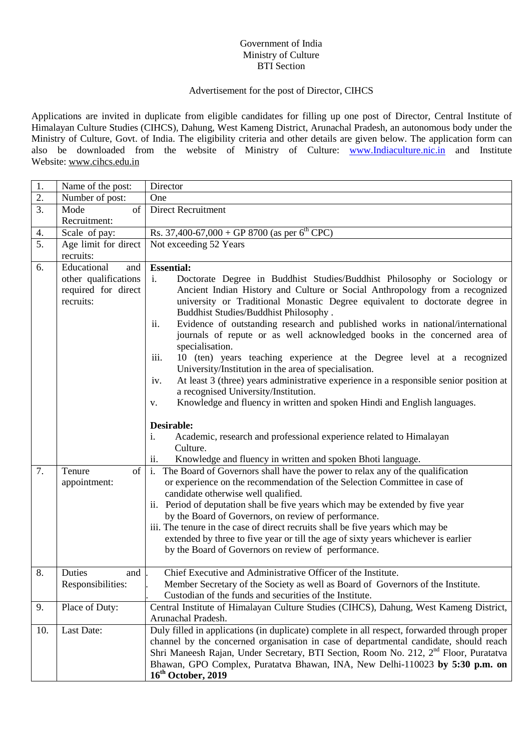## Government of India Ministry of Culture BTI Section

## Advertisement for the post of Director, CIHCS

Applications are invited in duplicate from eligible candidates for filling up one post of Director, Central Institute of Himalayan Culture Studies (CIHCS), Dahung, West Kameng District, Arunachal Pradesh, an autonomous body under the Ministry of Culture, Govt. of India. The eligibility criteria and other details are given below. The application form can also be downloaded from the website of Ministry of Culture: [www.Indiaculture.nic.in](http://www.indiaculture.nic.in/) and Institute Website: www.cihcs.edu.in

| 1.               | Name of the post:    | Director                                                                                                               |
|------------------|----------------------|------------------------------------------------------------------------------------------------------------------------|
| $\overline{2}$ . | Number of post:      | One                                                                                                                    |
| 3.               | Mode<br>of           | <b>Direct Recruitment</b>                                                                                              |
|                  | Recruitment:         |                                                                                                                        |
| 4.               | Scale of pay:        | Rs. 37,400-67,000 + GP 8700 (as per 6 <sup>th</sup> CPC)                                                               |
| 5.               | Age limit for direct | Not exceeding 52 Years                                                                                                 |
|                  | recruits:            |                                                                                                                        |
| 6.               | Educational<br>and   | <b>Essential:</b>                                                                                                      |
|                  | other qualifications | Doctorate Degree in Buddhist Studies/Buddhist Philosophy or Sociology or<br>$\mathbf{i}$ .                             |
|                  | required for direct  | Ancient Indian History and Culture or Social Anthropology from a recognized                                            |
|                  | recruits:            | university or Traditional Monastic Degree equivalent to doctorate degree in                                            |
|                  |                      | Buddhist Studies/Buddhist Philosophy.                                                                                  |
|                  |                      | Evidence of outstanding research and published works in national/international<br>ii.                                  |
|                  |                      | journals of repute or as well acknowledged books in the concerned area of                                              |
|                  |                      | specialisation.                                                                                                        |
|                  |                      | iii.<br>10 (ten) years teaching experience at the Degree level at a recognized                                         |
|                  |                      | University/Institution in the area of specialisation.                                                                  |
|                  |                      | At least 3 (three) years administrative experience in a responsible senior position at<br>iv.                          |
|                  |                      | a recognised University/Institution.                                                                                   |
|                  |                      | Knowledge and fluency in written and spoken Hindi and English languages.<br>V.                                         |
|                  |                      |                                                                                                                        |
|                  |                      | Desirable:                                                                                                             |
|                  |                      | Academic, research and professional experience related to Himalayan<br>i.                                              |
|                  |                      | Culture.                                                                                                               |
|                  | Tenure               | Knowledge and fluency in written and spoken Bhoti language.<br>11.                                                     |
| 7.               | of                   | i. The Board of Governors shall have the power to relax any of the qualification                                       |
|                  | appointment:         | or experience on the recommendation of the Selection Committee in case of                                              |
|                  |                      | candidate otherwise well qualified.<br>ii. Period of deputation shall be five years which may be extended by five year |
|                  |                      | by the Board of Governors, on review of performance.                                                                   |
|                  |                      | iii. The tenure in the case of direct recruits shall be five years which may be                                        |
|                  |                      | extended by three to five year or till the age of sixty years whichever is earlier                                     |
|                  |                      | by the Board of Governors on review of performance.                                                                    |
|                  |                      |                                                                                                                        |
| 8.               | Duties<br>and        | Chief Executive and Administrative Officer of the Institute.                                                           |
|                  | Responsibilities:    | Member Secretary of the Society as well as Board of Governors of the Institute.                                        |
|                  |                      | Custodian of the funds and securities of the Institute.                                                                |
| 9.               | Place of Duty:       | Central Institute of Himalayan Culture Studies (CIHCS), Dahung, West Kameng District,                                  |
|                  |                      | Arunachal Pradesh.                                                                                                     |
| 10.              | Last Date:           | Duly filled in applications (in duplicate) complete in all respect, forwarded through proper                           |
|                  |                      | channel by the concerned organisation in case of departmental candidate, should reach                                  |
|                  |                      | Shri Maneesh Rajan, Under Secretary, BTI Section, Room No. 212, 2 <sup>nd</sup> Floor, Puratatva                       |
|                  |                      | Bhawan, GPO Complex, Puratatva Bhawan, INA, New Delhi-110023 by 5:30 p.m. on                                           |
|                  |                      | $16th$ October, 2019                                                                                                   |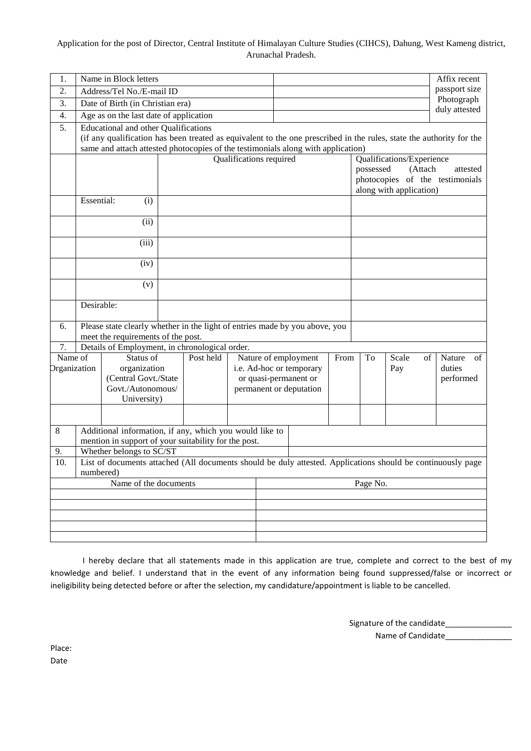## Application for the post of Director, Central Institute of Himalayan Culture Studies (CIHCS), Dahung, West Kameng district, Arunachal Pradesh.

| 2.<br>Address/Tel No./E-mail ID                                                                                                                                                                          |                                 |  |  |                         |
|----------------------------------------------------------------------------------------------------------------------------------------------------------------------------------------------------------|---------------------------------|--|--|-------------------------|
|                                                                                                                                                                                                          | passport size                   |  |  |                         |
| 3.<br>Date of Birth (in Christian era)                                                                                                                                                                   | Photograph                      |  |  |                         |
| 4.<br>Age as on the last date of application                                                                                                                                                             | duly attested                   |  |  |                         |
| 5.<br><b>Educational and other Qualifications</b>                                                                                                                                                        |                                 |  |  |                         |
| (if any qualification has been treated as equivalent to the one prescribed in the rules, state the authority for the<br>same and attach attested photocopies of the testimonials along with application) |                                 |  |  |                         |
|                                                                                                                                                                                                          |                                 |  |  | Qualifications required |
| (Attach<br>possessed                                                                                                                                                                                     | attested                        |  |  |                         |
|                                                                                                                                                                                                          | photocopies of the testimonials |  |  |                         |
| along with application)                                                                                                                                                                                  |                                 |  |  |                         |
| Essential:<br>(i)                                                                                                                                                                                        |                                 |  |  |                         |
| (ii)                                                                                                                                                                                                     |                                 |  |  |                         |
| (iii)                                                                                                                                                                                                    |                                 |  |  |                         |
|                                                                                                                                                                                                          |                                 |  |  |                         |
| (iv)                                                                                                                                                                                                     |                                 |  |  |                         |
| (v)                                                                                                                                                                                                      |                                 |  |  |                         |
| Desirable:                                                                                                                                                                                               |                                 |  |  |                         |
|                                                                                                                                                                                                          |                                 |  |  |                         |
| Please state clearly whether in the light of entries made by you above, you<br>6.                                                                                                                        |                                 |  |  |                         |
| meet the requirements of the post.                                                                                                                                                                       |                                 |  |  |                         |
| Details of Employment, in chronological order.<br>7.                                                                                                                                                     |                                 |  |  |                         |
| Name of<br>Status of<br>Post held<br>Nature of employment<br>Scale<br>To<br>of<br>From                                                                                                                   | Nature<br>of                    |  |  |                         |
| Organization<br>organization<br>i.e. Ad-hoc or temporary<br>Pay<br>(Central Govt./State<br>or quasi-permanent or                                                                                         | duties<br>performed             |  |  |                         |
| Govt./Autonomous/<br>permanent or deputation                                                                                                                                                             |                                 |  |  |                         |
| University)                                                                                                                                                                                              |                                 |  |  |                         |
|                                                                                                                                                                                                          |                                 |  |  |                         |
| 8<br>Additional information, if any, which you would like to                                                                                                                                             |                                 |  |  |                         |
| mention in support of your suitability for the post.                                                                                                                                                     |                                 |  |  |                         |
| Whether belongs to SC/ST<br>9.                                                                                                                                                                           |                                 |  |  |                         |
| 10.<br>List of documents attached (All documents should be duly attested. Applications should be continuously page                                                                                       |                                 |  |  |                         |
| numbered)                                                                                                                                                                                                |                                 |  |  |                         |
| Name of the documents<br>Page No.                                                                                                                                                                        |                                 |  |  |                         |
|                                                                                                                                                                                                          |                                 |  |  |                         |
|                                                                                                                                                                                                          |                                 |  |  |                         |
|                                                                                                                                                                                                          |                                 |  |  |                         |
|                                                                                                                                                                                                          |                                 |  |  |                         |

I hereby declare that all statements made in this application are true, complete and correct to the best of my knowledge and belief. I understand that in the event of any information being found suppressed/false or incorrect or ineligibility being detected before or after the selection, my candidature/appointment is liable to be cancelled.

> Signature of the candidate Name of Candidate\_\_\_\_\_\_\_\_\_\_\_\_\_\_\_

Place: Date